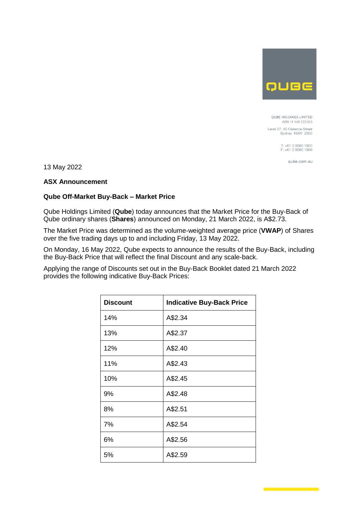

QUBE HOLDINGS LIMITED ABN 14 149 723 053

Level 27, 45 Clarence Street<br>Sydney NSW 2000

T: +61 2 9080 1900<br>F: +61 2 9080 1999

qube.com.au

13 May 2022

# **ASX Announcement**

## **Qube Off-Market Buy-Back – Market Price**

Qube Holdings Limited (**Qube**) today announces that the Market Price for the Buy-Back of Qube ordinary shares (**Shares**) announced on Monday, 21 March 2022, is A\$2.73.

The Market Price was determined as the volume-weighted average price (**VWAP**) of Shares over the five trading days up to and including Friday, 13 May 2022.

On Monday, 16 May 2022, Qube expects to announce the results of the Buy-Back, including the Buy-Back Price that will reflect the final Discount and any scale-back.

Applying the range of Discounts set out in the Buy-Back Booklet dated 21 March 2022 provides the following indicative Buy-Back Prices:

| <b>Discount</b> | <b>Indicative Buy-Back Price</b> |
|-----------------|----------------------------------|
| 14%             | A\$2.34                          |
| 13%             | A\$2.37                          |
| 12%             | A\$2.40                          |
| 11%             | A\$2.43                          |
| 10%             | A\$2.45                          |
| 9%              | A\$2.48                          |
| 8%              | A\$2.51                          |
| 7%              | A\$2.54                          |
| 6%              | A\$2.56                          |
| 5%              | A\$2.59                          |